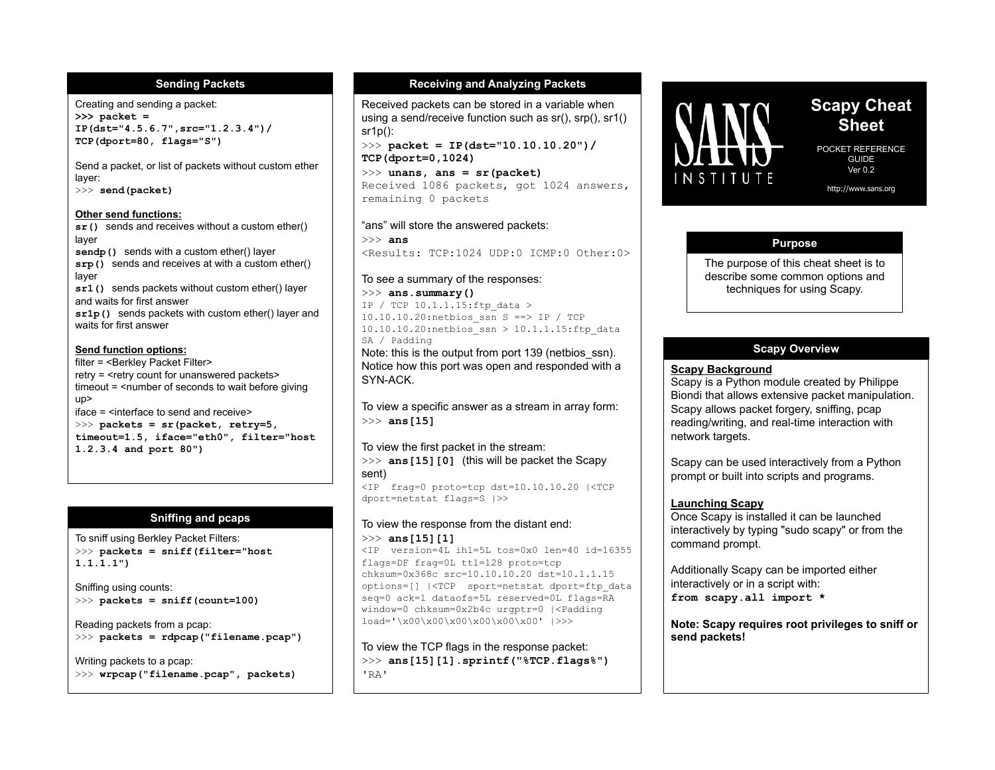#### **Sending Packets**

Creating and sending a packet: **>>> packet = IP(dst="4.5.6.7",src="1.2.3.4")/ TCP(dport=80, flags="S")** 

Send a packet, or list of packets without custom ether layer:

>>> **send(packet)** 

#### **Other send functions:**

**sr()** sends and receives without a custom ether() layer **sendp()** sends with a custom ether() layer

**srp()** sends and receives at with a custom ether() layer **sr1()** sends packets without custom ether() layer and waits for first answer

**sr1p()** sends packets with custom ether() layer and waits for first answer

#### **Send function options:**

filter = <Berkley Packet Filter> retry = <retry count for unanswered packets> timeout  $=$   $\leq$  number of seconds to wait before giving up> iface = <interface to send and receive> >>> **packets = sr(packet, retry=5, timeout=1.5, iface="eth0", filter="host 1.2.3.4 and port 80")**

#### **Sniffing and pcaps**

To sniff using Berkley Packet Filters: >>> **packets = sniff(filter="host 1.1.1.1")** 

Sniffing using counts: >>> **packets = sniff(count=100)** 

Reading packets from a pcap: >>> **packets = rdpcap("filename.pcap")** 

Writing packets to a pcap: >>> **wrpcap("filename.pcap", packets)** 

## **Receiving and Analyzing Packets**

Received packets can be stored in a variable when using a send/receive function such as sr(), srp(), sr1() sr1p():

>>> **packet = IP(dst="10.10.10.20")/ TCP(dport=0,1024)** 

>>> **unans, ans = sr(packet)**  Received 1086 packets, got 1024 answers, remaining 0 packets

#### "ans" will store the answered packets:

>>> **ans** <Results: TCP:1024 UDP:0 ICMP:0 Other:0>

#### To see a summary of the responses:

>>> **ans.summary()**  IP / TCP 10.1.1.15:ftp\_data > 10.10.10.20:netbios\_ssn S ==> IP / TCP  $10.10.10.20$ :netbios\_ssn > 10.1.1.15:ftp\_data SA / Padding

Note: this is the output from port 139 (netbios\_ssn). Notice how this port was open and responded with a SYN-ACK.

To view a specific answer as a stream in array form: >>> **ans[15]** 

# To view the first packet in the stream:

>>> **ans[15][0]** (this will be packet the Scapy sent)

<IP frag=0 proto=tcp dst=10.10.10.20 |<TCP dport=netstat flags=S |>>

#### To view the response from the distant end: >>> **ans[15][1]**

<IP version=4L ihl=5L tos=0x0 len=40 id=16355 flags=DF frag=0L ttl=128 proto=tcp chksum=0x368c src=10.10.10.20 dst=10.1.1.15 options=[] |<TCP sport=netstat dport=ftp\_data seq=0 ack=1 dataofs=5L reserved=0L flags=RA window=0 chksum=0x2b4c urgptr=0 |<Padding load='\x00\x00\x00\x00\x00\x00' |>>>

To view the TCP flags in the response packet: >>> **ans[15][1].sprintf("%TCP.flags%")**  'RA'



# **Scapy Cheat Sheet**

POCKET REFERENCE GUIDE Ver  $0.2$ 

http://www.sans.org

## **Purpose**

The purpose of this cheat sheet is to describe some common options and techniques for using Scapy.

## **Scapy Overview**

#### **Scapy Background**

Scapy is a Python module created by Philippe Biondi that allows extensive packet manipulation. Scapy allows packet forgery, sniffing, pcap reading/writing, and real-time interaction with network targets.

Scapy can be used interactively from a Python prompt or built into scripts and programs.

## **Launching Scapy**

Once Scapy is installed it can be launched interactively by typing "sudo scapy" or from the command prompt.

Additionally Scapy can be imported either interactively or in a script with: **from scapy.all import \*** 

**Note: Scapy requires root privileges to sniff or send packets!**